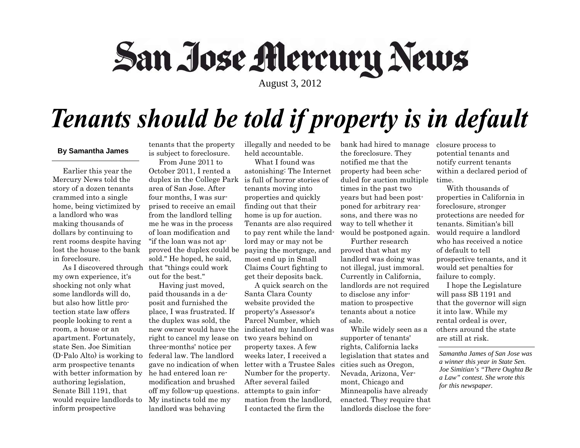## San Jose Mercury News

August 3, 2012

## Tenants should be told if property is in default

### **By Samantha James**

 Earlier this year the Mercury News told the story of a dozen tenants crammed into a single home, being victimized by a landlord who was making thousands of dollars by continuing to rent rooms despite having lost the house to the bank in foreclosure.

my own experience, it's shocking not only what some landlords will do, but also how little protection state law offers people looking to rent a room, a house or an apartment. Fortunately, state Sen. Joe Simitian (D-Palo Alto) is working to arm prospective tenants with better information by authoring legislation, Senate Bill 1191, that would require landlords to inform prospective

tenants that the property is subject to foreclosure. From June 2011 to

 As I discovered through that "things could work October 2011, I rented a duplex in the College Park is full of horror stories of area of San Jose. After four months, I was surprised to receive an email from the landlord telling me he was in the process of loan modification and "if the loan was not approved the duplex could be paying the mortgage, and sold." He hoped, he said, out for the best."

> Having just moved, paid thousands in a deposit and furnished the place, I was frustrated. If the duplex was sold, the right to cancel my lease on three-months' notice per federal law. The landlord he had entered loan remodification and brushed off my follow-up questions. My instincts told me my landlord was behaving

illegally and needed to be held accountable.

 What I found was astonishing: The Internet tenants moving into properties and quickly finding out that their home is up for auction. Tenants are also required to pay rent while the landlord may or may not be most end up in Small Claims Court fighting to get their deposits back.

new owner would have the indicated my landlord was gave no indication of when letter with a Trustee Sales A quick search on the Santa Clara County website provided the property's Assessor's Parcel Number, which two years behind on property taxes. A few weeks later, I received a Number for the property. After several failed attempts to gain information from the landlord, I contacted the firm the

bank had hired to manage the foreclosure. They notified me that the property had been scheduled for auction multiple times in the past two years but had been postponed for arbitrary reasons, and there was no way to tell whether it would be postponed again.

 Further research proved that what my landlord was doing was not illegal, just immoral. Currently in California, landlords are not required to disclose any information to prospective tenants about a notice of sale.

 While widely seen as a supporter of tenants' rights, California lacks legislation that states and cities such as Oregon, Nevada, Arizona, Vermont, Chicago and Minneapolis have already enacted. They require that landlords disclose the foreclosure process to potential tenants and notify current tenants within a declared period of time.

 With thousands of properties in California in foreclosure, stronger protections are needed for tenants. Simitian's bill would require a landlord who has received a notice of default to tell prospective tenants, and it would set penalties for failure to comply.

 I hope the Legislature will pass SB 1191 and that the governor will sign it into law. While my rental ordeal is over, others around the state are still at risk.

*Samantha James of San Jose was a winner this year in State Sen. Joe Simitian's "There Oughta Be a Law" contest. She wrote this for this newspaper.*